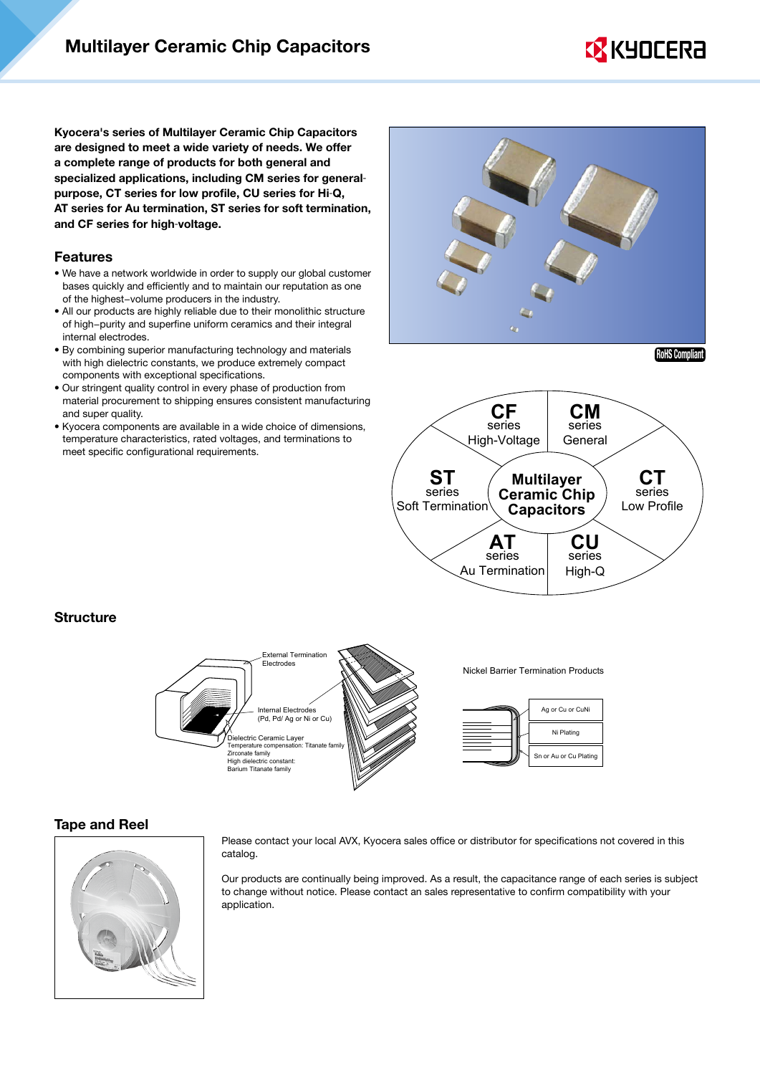# **EX KYOCERA**

Kyocera's series of Multilayer Ceramic Chip Capacitors are designed to meet a wide variety of needs. We offer a complete range of products for both general and specialized applications, including CM series for generalpurpose, CT series for low profile, CU series for Hi-Q, AT series for Au termination, ST series for soft termination, and CF series for high-voltage.

#### Features

- We have a network worldwide in order to supply our global customer bases quickly and efficiently and to maintain our reputation as one of the highest−volume producers in the industry.
- All our products are highly reliable due to their monolithic structure of high−purity and superfine uniform ceramics and their integral internal electrodes.
- By combining superior manufacturing technology and materials with high dielectric constants, we produce extremely compact components with exceptional specifications.
- Our stringent quality control in every phase of production from material procurement to shipping ensures consistent manufacturing and super quality.
- Kyocera components are available in a wide choice of dimensions, temperature characteristics, rated voltages, and terminations to meet specific configurational requirements.



RoHS Compliant



#### **Structure**



#### Tape and Reel



Please contact your local AVX, Kyocera sales office or distributor for specifications not covered in this catalog.

Our products are continually being improved. As a result, the capacitance range of each series is subject to change without notice. Please contact an sales representative to confirm compatibility with your application.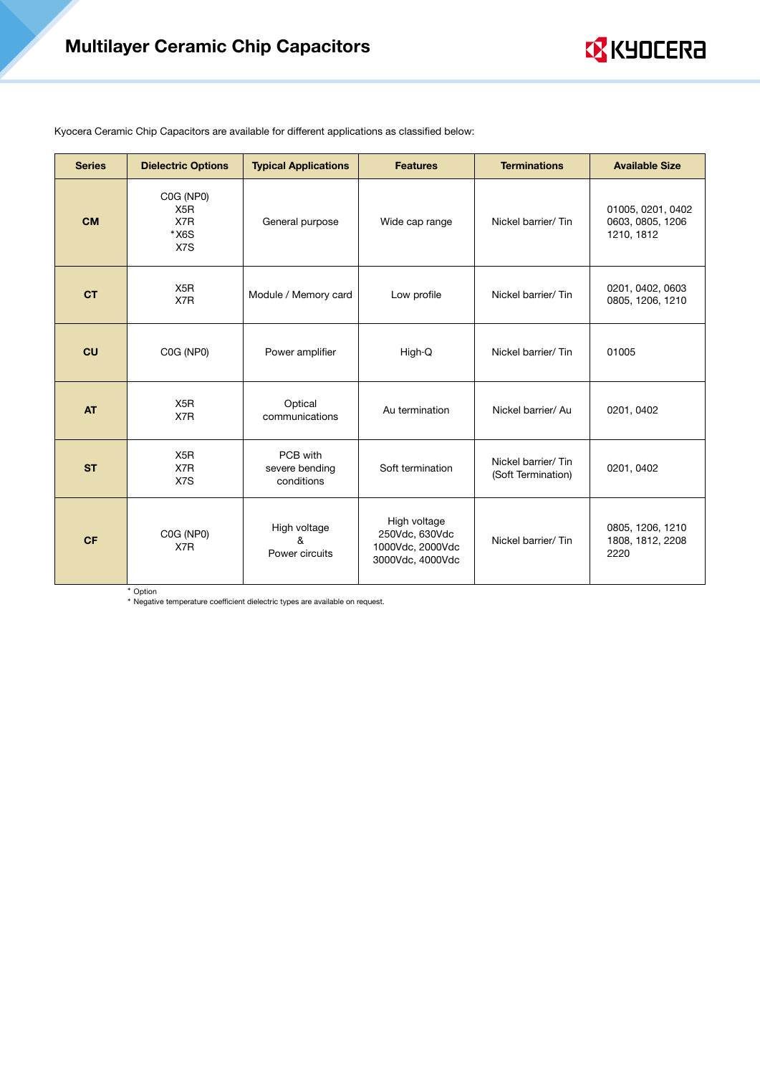# Multilayer Ceramic Chip Capacitors



Kyocera Ceramic Chip Capacitors are available for different applications as classified below:

| <b>Series</b> | <b>Dielectric Options</b>                             | <b>Typical Applications</b>              | <b>Features</b>                                                        | <b>Terminations</b>                      | <b>Available Size</b>                               |  |
|---------------|-------------------------------------------------------|------------------------------------------|------------------------------------------------------------------------|------------------------------------------|-----------------------------------------------------|--|
| <b>CM</b>     | C0G (NP0)<br>X <sub>5</sub> R<br>X7R<br>$*X6S$<br>X7S | General purpose                          | Wide cap range                                                         | Nickel barrier/Tin                       | 01005, 0201, 0402<br>0603, 0805, 1206<br>1210, 1812 |  |
| <b>CT</b>     | X <sub>5</sub> R<br>X7R                               | Module / Memory card                     | Low profile                                                            | Nickel barrier/Tin                       | 0201, 0402, 0603<br>0805, 1206, 1210                |  |
| CU            | C0G (NP0)                                             | Power amplifier                          | High-Q                                                                 | Nickel barrier/Tin                       | 01005                                               |  |
| <b>AT</b>     | X <sub>5</sub> R<br>X7R                               | Optical<br>communications                | Au termination                                                         | Nickel barrier/ Au                       | 0201, 0402                                          |  |
| <b>ST</b>     | X <sub>5</sub> R<br>X7R<br>X7S                        | PCB with<br>severe bending<br>conditions | Soft termination                                                       | Nickel barrier/Tin<br>(Soft Termination) | 0201, 0402                                          |  |
| <b>CF</b>     | C0G (NP0)<br>X7R                                      | High voltage<br>&<br>Power circuits      | High voltage<br>250Vdc, 630Vdc<br>1000Vdc, 2000Vdc<br>3000Vdc, 4000Vdc | Nickel barrier/Tin                       | 0805, 1206, 1210<br>1808, 1812, 2208<br>2220        |  |

\* Option

\* Negative temperature coefficient dielectric types are available on request.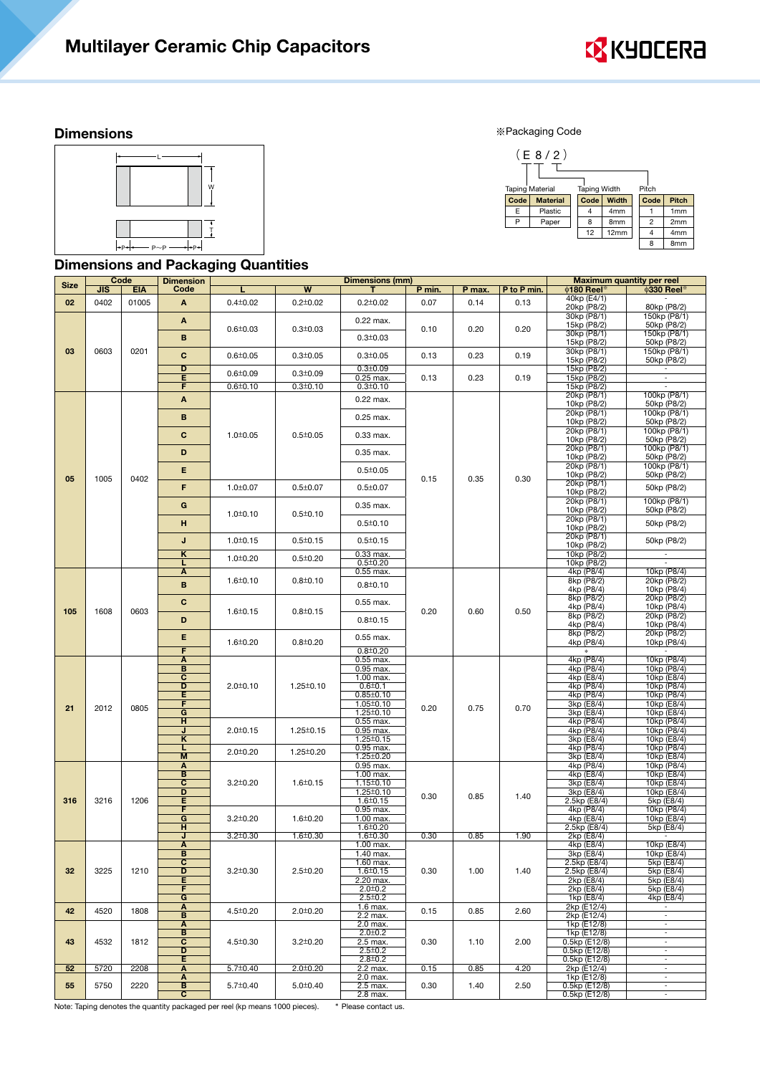

#### **Dimensions**

※Packaging Code



## Dimensions and Packaging Quantities



|             | Code       |            | <b>Dimension</b>                  |                                 |                         | <b>Dimensions (mm)</b>             |           |        |                          | <b>Maximum quantity per reel</b> |                             |             |  |  |
|-------------|------------|------------|-----------------------------------|---------------------------------|-------------------------|------------------------------------|-----------|--------|--------------------------|----------------------------------|-----------------------------|-------------|--|--|
| <b>Size</b> | <b>JIS</b> | <b>EIA</b> | Code                              |                                 | $\overline{\mathsf{w}}$ | т                                  | P min.    | P max. | P to P min.              | $\phi$ 180 Reel*                 | $\phi$ 330 Reel             |             |  |  |
| 02          | 0402       | 01005      | A                                 | $0.4 \pm 0.02$                  | $0.2 \pm 0.02$          | $0.2 \pm 0.02$                     | 0.07      | 0.14   | 0.13                     | 40kp (E4/1)                      |                             |             |  |  |
|             |            |            |                                   |                                 |                         |                                    |           |        |                          | 20kp (P8/2)<br>30kp (P8/1)       | 80kp (P8/2)<br>150kp (P8/1) |             |  |  |
|             |            |            | Α                                 | $0.6 + 0.03$                    | $0.3 + 0.03$            | 0.22 max.                          |           | 0.20   | 0.20                     | 15kp (P8/2)                      | 50kp (P8/2)                 |             |  |  |
|             |            |            | В                                 |                                 |                         | $0.3 + 0.03$                       | 0.10      |        |                          | 30kp (P8/1)                      | 150kp (P8/1)                |             |  |  |
| 03          | 0603       | 0201       |                                   |                                 |                         |                                    |           |        |                          | 15kp (P8/2)<br>30kp (P8/1)       | 50kp (P8/2)<br>150kp (P8/1) |             |  |  |
|             |            |            | C                                 | $0.6 + 0.05$                    | $0.3 \pm 0.05$          | $0.3 \pm 0.05$                     | 0.13      | 0.23   | 0.19                     | 15kp (P8/2)                      | 50kp (P8/2)                 |             |  |  |
|             |            |            | D                                 | $0.6 + 0.09$                    | $0.3 \pm 0.09$          | $0.3 \pm 0.09$                     |           |        |                          | 15kp (P8/2)                      |                             |             |  |  |
|             |            |            | Е<br>F                            | $0.6 + 0.10$                    | $0.3 \pm 0.10$          | 0.25 max.<br>$0.3 \pm 0.10$        | 0.13      | 0.23   | 0.19                     | 15kp (P8/2)<br>15kp (P8/2)       | ×                           |             |  |  |
|             |            |            | A                                 |                                 |                         | 0.22 max.                          |           |        |                          | 20kp (P8/1)                      | 100kp (P8/1)                |             |  |  |
|             |            |            |                                   |                                 |                         |                                    |           |        |                          | 10kp (P8/2)                      | 50kp (P8/2)                 |             |  |  |
|             |            |            | в                                 |                                 |                         | 0.25 max.                          |           |        |                          | 20kp (P8/1)<br>10kp (P8/2)       | 100kp (P8/1)<br>50kp (P8/2) |             |  |  |
|             |            |            | C                                 | $1.0 \pm 0.05$                  | $0.5 \pm 0.05$          | 0.33 max.                          |           |        |                          | 20kp (P8/1)                      | 100kp (P8/1)                |             |  |  |
|             |            |            |                                   |                                 |                         |                                    |           |        |                          | 10kp (P8/2)                      | 50kp (P8/2)                 |             |  |  |
|             |            |            | D                                 |                                 |                         | 0.35 max.                          |           |        |                          | 20kp (P8/1)<br>10kp (P8/2)       | 100kp (P8/1)<br>50kp (P8/2) |             |  |  |
|             |            |            | E.                                |                                 |                         | $0.5 \pm 0.05$                     |           |        |                          | 20kp (P8/1)                      | 100kp (P8/1)                |             |  |  |
| 05          | 1005       | 0402       |                                   |                                 |                         |                                    | 0.15      | 0.35   | 0.30                     | 10kp (P8/2)<br>20kp (P8/1)       | 50kp (P8/2)                 |             |  |  |
|             |            |            | F                                 | $1.0 \pm 0.07$                  | $0.5 \pm 0.07$          | $0.5 \pm 0.07$                     |           |        |                          | 10kp (P8/2)                      | 50kp (P8/2)                 |             |  |  |
|             |            |            | G                                 |                                 |                         | 0.35 max.                          |           |        |                          | 20kp (P8/1)                      | 100kp (P8/1)                |             |  |  |
|             |            |            |                                   | $1.0 \pm 0.10$                  | $0.5 \pm 0.10$          |                                    |           |        |                          | 10kp (P8/2)<br>20kp (P8/1)       | 50kp (P8/2)                 |             |  |  |
|             |            |            | н                                 |                                 |                         | $0.5 \pm 0.10$                     |           |        |                          | 10kp (P8/2)                      | 50kp (P8/2)                 |             |  |  |
|             |            |            | J                                 | $1.0 \pm 0.15$                  | $0.5 \pm 0.15$          | $0.5 \pm 0.15$                     |           |        |                          | 20kp (P8/1)                      | 50kp (P8/2)                 |             |  |  |
|             |            |            | κ                                 |                                 |                         | $0.33$ max.                        |           |        |                          | 10kp (P8/2)<br>10kp (P8/2)       |                             |             |  |  |
|             |            |            |                                   | $1.0 + 0.20$                    | $0.5 \pm 0.20$          | $0.5 \pm 0.20$                     |           |        |                          | 10kp (P8/2)                      |                             |             |  |  |
|             |            |            | A                                 | $1.6 \pm 0.10$                  | $0.8 + 0.10$            | 0.55 max.                          |           |        |                          | 4kp (P8/4)<br>8kp (P8/2)         | 10kp (P8/4)<br>20kp (P8/2)  |             |  |  |
|             |            |            | B                                 |                                 |                         | $0.8 + 0.10$                       |           |        |                          | 4kp (P8/4)                       | 10kp (P8/4)                 |             |  |  |
|             | 1608       |            | c                                 |                                 |                         | 0.55 max.                          |           |        | 0.50                     | 8kp (P8/2)                       | 20kp (P8/2)                 |             |  |  |
| 105         |            | 0603       |                                   | $1.6 \pm 0.15$                  | $0.8 + 0.15$            |                                    | 0.20      | 0.60   |                          | 4kp (P8/4)<br>8kp (P8/2)         | 10kp (P8/4)<br>20kp (P8/2)  |             |  |  |
|             |            |            | D                                 |                                 |                         | $0.8 + 0.15$                       |           |        |                          | 4kp (P8/4)                       | 10kp (P8/4)                 |             |  |  |
|             |            |            | E<br>$1.6 \pm 0.20$               | $0.8 + 0.20$                    | 0.55 max.               |                                    |           |        | 8kp (P8/2)<br>4kp (P8/4) | 20kp (P8/2)<br>10kp (P8/4)       |                             |             |  |  |
|             |            |            | F                                 |                                 |                         | $0.8 + 0.20$                       |           |        |                          |                                  |                             |             |  |  |
|             |            |            | A<br>B<br>$\overline{\mathbf{c}}$ |                                 |                         |                                    | 0.55 max. |        |                          |                                  | 4kp (P8/4)                  | 10kp (P8/4) |  |  |
|             |            |            |                                   |                                 |                         | 0.95 max.<br>1.00 max.             |           |        |                          | 4kp (P8/4)<br>4kp (E8/4)         | 10kp (P8/4)<br>10kp (E8/4)  |             |  |  |
|             |            |            | D                                 | $2.0 + 0.10$<br>$1.25 \pm 0.10$ |                         | $0.6 + 0.1$                        |           |        |                          | 4kp (P8/4)                       | 10kp (P8/4)                 |             |  |  |
|             |            |            | E<br>F                            |                                 |                         | $0.85 \pm 0.10$<br>$1.05 \pm 0.10$ |           |        |                          | 4kp (P8/4)<br>3kp (E8/4)         | 10kp (P8/4)<br>10kp (E8/4)  |             |  |  |
| 21          | 2012       | 0805       | G                                 |                                 |                         | 1.25±0.10                          | 0.20      | 0.75   | 0.70                     | 3kp (E8/4)                       | 10kp (E8/4)                 |             |  |  |
|             |            |            | н                                 |                                 |                         | 0.55 max.                          |           |        |                          | 4kp (P8/4)                       | 10kp (P8/4)                 |             |  |  |
|             |            |            | J<br>κ                            | $2.0 \pm 0.15$                  | $1.25 \pm 0.15$         | 0.95 max.<br>$1.25 \pm 0.15$       |           |        |                          | 4kp (P8/4)<br>3kp (E8/4)         | 10kp (P8/4)<br>10kp (E8/4)  |             |  |  |
|             |            |            | L                                 | $2.0 \pm 0.20$                  | $1.25 \pm 0.20$         | 0.95 max.                          |           |        |                          | 4kp (P8/4)                       | 10kp (P8/4)                 |             |  |  |
|             |            |            | M                                 |                                 |                         | 1.25±0.20                          |           |        |                          | 3kp (E8/4)                       | 10kp (E8/4)                 |             |  |  |
|             |            |            | Α<br>в                            |                                 |                         | 0.95 max.<br>1.00 max.             |           |        |                          | 4kp (P8/4)<br>4kp (E8/4)         | 10kp (P8/4)<br>10kp (E8/4)  |             |  |  |
|             |            |            | $\overline{\mathbf{c}}$           | $3.2 \pm 0.20$                  | $1.6 \pm 0.15$          | $1.15 \pm 0.10$                    |           |        |                          | 3kp (E8/4)                       | 10kp (E8/4)                 |             |  |  |
| 316         | 3216       | 1206       | D<br>Е                            |                                 |                         | $1.25 \pm 0.10$<br>$1.6 \pm 0.15$  | 0.30      | 0.85   | 1.40                     | 3kp (E8/4)<br>2.5kp (E8/4)       | 10kp (E8/4)<br>5kp (E8/4)   |             |  |  |
|             |            |            | F                                 |                                 |                         | 0.95 max.                          |           |        |                          | 4kp (P8/4)                       | 10kp (P8/4)                 |             |  |  |
|             |            |            | G                                 | $3.2 \pm 0.20$                  | $1.6 \pm 0.20$          | 1.00 max.                          |           |        |                          | 4kp (E8/4)                       | 10kp (E8/4)                 |             |  |  |
|             |            |            | н<br>J                            | $3.2 \pm 0.30$                  | $1.6 \pm 0.30$          | $1.6 \pm 0.20$<br>$1.6 + 0.30$     | 0.30      | 0.85   | 1.90                     | 2.5kp (E8/4)<br>2kp (E8/4)       | 5kp (E8/4)                  |             |  |  |
|             |            |            | Α                                 |                                 |                         | 1.00 max.                          |           |        |                          | 4kp (E8/4)                       | 10kp (E8/4)                 |             |  |  |
|             |            |            | В<br>С                            |                                 |                         | 1.40 max.<br>1.60 max.             |           |        |                          | 3kp (E8/4)<br>2.5kp (E8/4)       | 10kp (E8/4)<br>5kp (E8/4)   |             |  |  |
| 32          | 3225       | 1210       | D                                 | $3.2 \pm 0.30$                  | $2.5 \pm 0.20$          | $1.6 \pm 0.15$                     | 0.30      | 1.00   | 1.40                     | 2.5kp (E8/4)                     | 5kp (E8/4)                  |             |  |  |
|             |            |            | E                                 |                                 |                         | $2.20$ max.                        |           |        |                          | 2kp (E8/4)                       | 5kp (E8/4)                  |             |  |  |
|             |            |            | F<br>G                            |                                 |                         | $2.0 + 0.2$<br>$2.5 \pm 0.2$       |           |        |                          | 2kp (E8/4)<br>1kp (E8/4)         | 5kp (E8/4)<br>4kp (E8/4)    |             |  |  |
| 42          | 4520       | 1808       | Α                                 | $4.5 \pm 0.20$                  | $2.0 \pm 0.20$          | 1.6 max.                           | 0.15      | 0.85   | 2.60                     | 2kp (E12/4)                      |                             |             |  |  |
|             |            |            | в                                 |                                 |                         | 2.2 max.<br>$2.0$ max.             |           |        |                          | 2kp (E12/4)<br>1kp (E12/8)       | $\sim$<br>$\sim$            |             |  |  |
|             |            |            | A<br>В                            |                                 |                         | $2.0 \pm 0.2$                      |           |        |                          | 1kp (E12/8)                      | ×.                          |             |  |  |
| 43          | 4532       | 1812       | $\overline{\mathbf{c}}$           | $4.5 \pm 0.30$                  | $3.2 \pm 0.20$          | 2.5 max.                           | 0.30      | 1.10   | 2.00                     | 0.5kp (E12/8)                    | $\sim$                      |             |  |  |
|             |            |            | D<br>Е                            |                                 |                         | $2.5 \pm 0.2$<br>$2.8 \pm 0.2$     |           |        |                          | 0.5kp (E12/8)<br>0.5kp (E12/8)   | $\sim$<br>×.                |             |  |  |
| 52          | 5720       | 2208       | Α                                 | $5.7 \pm 0.40$                  | $2.0 \pm 0.20$          | 2.2 max.                           | 0.15      | 0.85   | 4.20                     | 2kp (E12/4)                      | $\sim$                      |             |  |  |
|             |            |            | A                                 |                                 |                         | 2.0 max.                           |           |        |                          | 1kp (E12/8)                      | $\sim$                      |             |  |  |
| 55          | 5750       | 2220       | В<br>$\overline{\mathbf{c}}$      | $5.7 \pm 0.40$                  | $5.0 \pm 0.40$          | 2.5 max.<br>2.8 max.               | 0.30      | 1.40   | 2.50                     | 0.5kp (E12/8)<br>0.5kp (E12/8)   | $\sim$<br>×.                |             |  |  |

Note: Taping denotes the quantity packaged per reel (kp means 1000 pieces). \* Please contact us.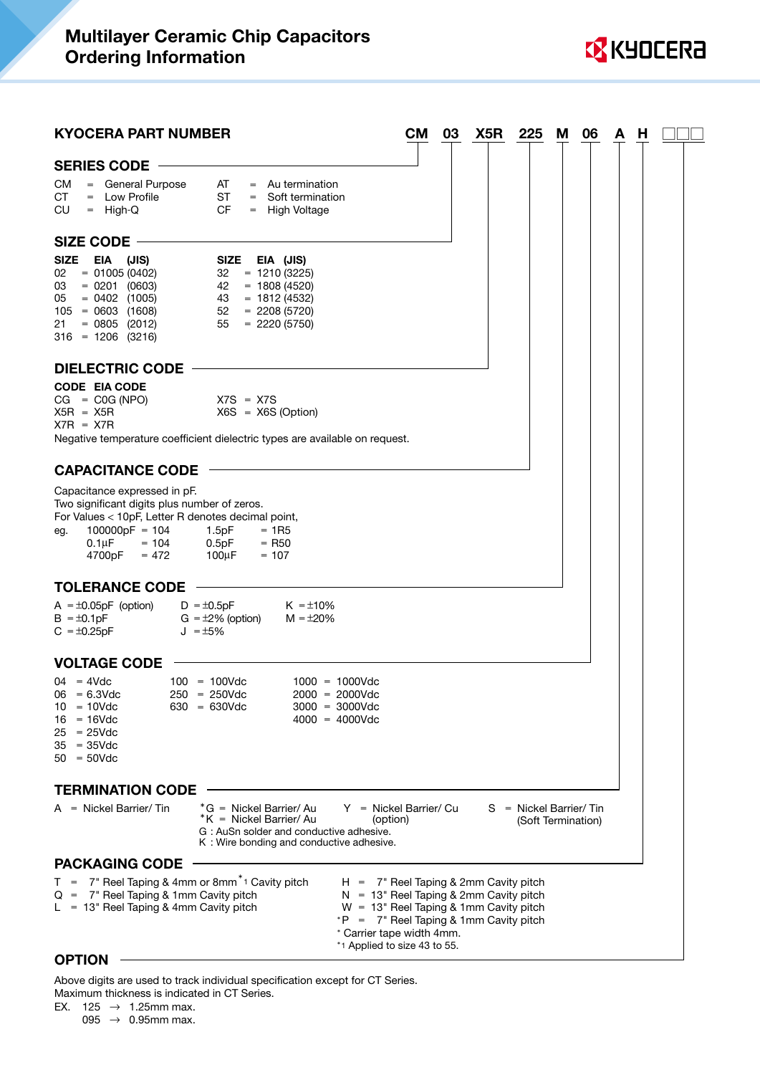

| <b>KYOCERA PART NUMBER</b>                                                                                                                                                                           |                                                                                                                                                                                  | CМ<br>03                                                                                                                           | X5R | 225                                            | M | 06 | A | H |  |
|------------------------------------------------------------------------------------------------------------------------------------------------------------------------------------------------------|----------------------------------------------------------------------------------------------------------------------------------------------------------------------------------|------------------------------------------------------------------------------------------------------------------------------------|-----|------------------------------------------------|---|----|---|---|--|
| SERIES CODE -                                                                                                                                                                                        |                                                                                                                                                                                  |                                                                                                                                    |     |                                                |   |    |   |   |  |
| = General Purpose<br>CM<br>CT<br>$=$ Low Profile<br>CU.<br>$=$ High-Q                                                                                                                                | AT<br>$=$ Au termination<br><b>ST</b><br>$=$ Soft termination<br>CF.<br>= High Voltage                                                                                           |                                                                                                                                    |     |                                                |   |    |   |   |  |
| SIZE CODE -                                                                                                                                                                                          |                                                                                                                                                                                  |                                                                                                                                    |     |                                                |   |    |   |   |  |
| SIZE<br>EIA (JIS)<br>$= 01005(0402)$<br>02<br>$= 0201 (0603)$<br>03<br>$= 0402 (1005)$<br>05<br>$105 = 0603 (1608)$<br>$= 0805 (2012)$<br>21<br>$316 = 1206$ (3216)                                  | SIZE EIA (JIS)<br>$32 = 1210(3225)$<br>$42 = 1808 (4520)$<br>$43 = 1812 (4532)$<br>$52 = 2208 (5720)$<br>$55 = 2220(5750)$                                                       |                                                                                                                                    |     |                                                |   |    |   |   |  |
| <b>DIELECTRIC CODE</b>                                                                                                                                                                               |                                                                                                                                                                                  |                                                                                                                                    |     |                                                |   |    |   |   |  |
| <b>CODE EIA CODE</b><br>$CG = C0G (NPO)$<br>$X5R = X5R$<br>$X7R = X7R$                                                                                                                               | $X7S = X7S$<br>$X6S = X6S$ (Option)<br>Negative temperature coefficient dielectric types are available on request.                                                               |                                                                                                                                    |     |                                                |   |    |   |   |  |
| <b>CAPACITANCE CODE</b>                                                                                                                                                                              |                                                                                                                                                                                  |                                                                                                                                    |     |                                                |   |    |   |   |  |
| Capacitance expressed in pF.<br>Two significant digits plus number of zeros.<br>For Values < 10pF, Letter R denotes decimal point,<br>$100000pF = 104$<br>eg.<br>$0.1 \mu F = 104$<br>$4700pF = 472$ | 1.5pF<br>$= 1R5$<br>0.5pF<br>$=$ R <sub>50</sub><br>$100 \mu F$<br>$= 107$                                                                                                       |                                                                                                                                    |     |                                                |   |    |   |   |  |
| <b>TOLERANCE CODE</b>                                                                                                                                                                                |                                                                                                                                                                                  |                                                                                                                                    |     |                                                |   |    |   |   |  |
| $A = \pm 0.05pF$ (option)<br>$B = \pm 0.1pF$<br>$C = \pm 0.25pF$                                                                                                                                     | $D = \pm 0.5pF$<br>$K = \pm 10\%$<br>$G = \pm 2\%$ (option)<br>$M = \pm 20\%$<br>$J = \pm 5\%$                                                                                   |                                                                                                                                    |     |                                                |   |    |   |   |  |
| <b>VOLTAGE CODE</b>                                                                                                                                                                                  |                                                                                                                                                                                  |                                                                                                                                    |     |                                                |   |    |   |   |  |
| $04 = 4Vdc$<br>$06 = 6.3$ Vdc<br>$10 = 10$ Vdc<br>$16 = 16$ Vdc<br>$25 = 25 \text{V}$ dc<br>$35 = 35 \text{V}$ dc<br>$50 = 50$ Vdc                                                                   | $100 = 100$ Vdc<br>$1000 = 1000Vdc$<br>$250 = 250 \text{Vdc}$<br>$2000 = 2000$ Vdc<br>$630 = 630 \text{Vdc}$<br>$3000 = 3000V$ dc<br>$4000 = 4000Vdc$                            |                                                                                                                                    |     |                                                |   |    |   |   |  |
| <b>TERMINATION CODE</b>                                                                                                                                                                              |                                                                                                                                                                                  |                                                                                                                                    |     |                                                |   |    |   |   |  |
| $A =$ Nickel Barrier/Tin                                                                                                                                                                             | $*G =$ Nickel Barrier/Au<br>Y = Nickel Barrier/ Cu<br>*K = Nickel Barrier/ Au<br>(option)<br>G: AuSn solder and conductive adhesive.<br>K: Wire bonding and conductive adhesive. |                                                                                                                                    |     | $S =$ Nickel Barrier/Tin<br>(Soft Termination) |   |    |   |   |  |
| <b>PACKAGING CODE</b>                                                                                                                                                                                |                                                                                                                                                                                  |                                                                                                                                    |     |                                                |   |    |   |   |  |
| $T = 7$ " Reel Taping & 4mm or 8mm <sup>*</sup> Cavity pitch<br>$Q = 7$ " Reel Taping & 1mm Cavity pitch<br>$L = 13$ " Reel Taping & 4mm Cavity pitch                                                | $*P = 7$ " Reel Taping & 1mm Cavity pitch<br>* Carrier tape width 4mm.<br>*1 Applied to size 43 to 55.                                                                           | $H = 7$ " Reel Taping & 2mm Cavity pitch<br>$N = 13$ " Reel Taping & 2mm Cavity pitch<br>$W = 13$ " Reel Taping & 1mm Cavity pitch |     |                                                |   |    |   |   |  |

#### **OPTION**

Above digits are used to track individual specification except for CT Series. Maximum thickness is indicated in CT Series.

```
EX. 125 \rightarrow 1.25mm max.
```
095  $\rightarrow$  0.95mm max.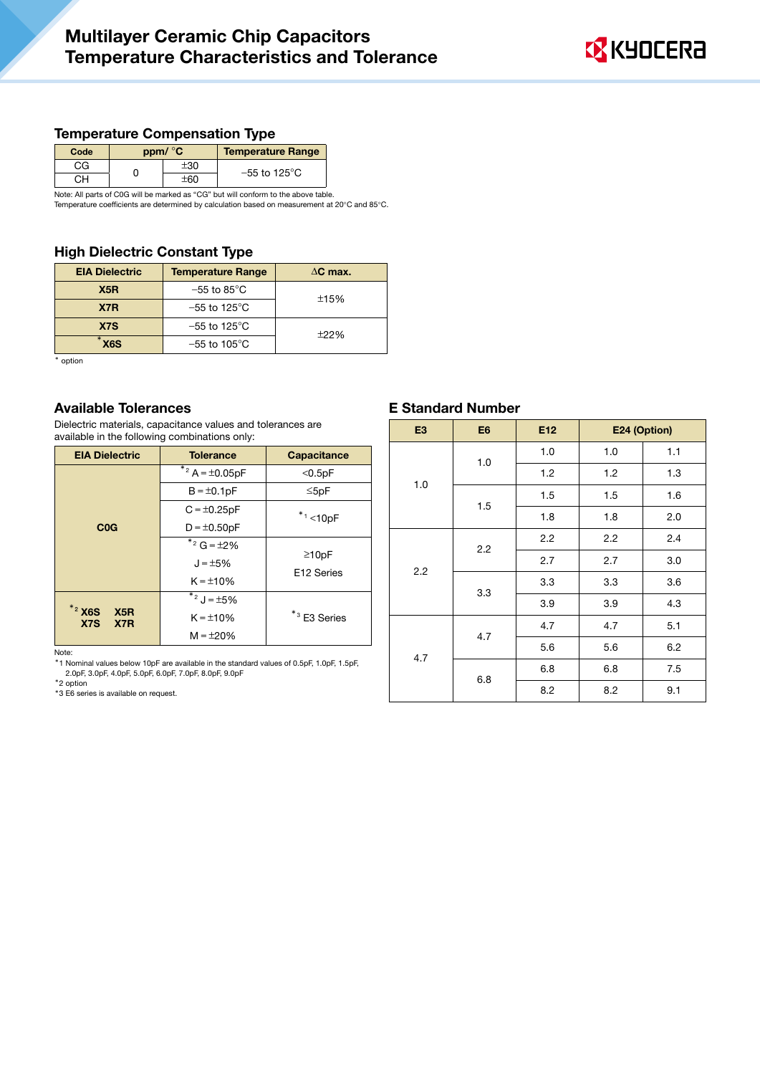

#### Temperature Compensation Type

| Code | ppm/ °C | <b>Temperature Range</b>  |
|------|---------|---------------------------|
| СG   | F30.    | $-55$ to 125 $^{\circ}$ C |
|      |         |                           |

Note: All parts of C0G will be marked as "CG" but will conform to the above table.

Temperature coefficients are determined by calculation based on measurement at 20°C and 85°C.

## High Dielectric Constant Type

| <b>EIA Dielectric</b> | <b>Temperature Range</b>  | $\Delta C$ max. |  |  |
|-----------------------|---------------------------|-----------------|--|--|
| X <sub>5</sub> R      | $-55$ to $85^{\circ}$ C   | ±15%            |  |  |
| X7R                   | $-55$ to 125 $^{\circ}$ C |                 |  |  |
| X <sub>7</sub> S      | $-55$ to 125 $^{\circ}$ C |                 |  |  |
| X <sub>6</sub> S      | $-55$ to 105 $^{\circ}$ C | ±22%            |  |  |

\* option

#### Available Tolerances

Dielectric materials, capacitance values and tolerances are available in the following combinations only:

| <b>EIA Dielectric</b>                                               | <b>Tolerance</b>                  | <b>Capacitance</b>         |
|---------------------------------------------------------------------|-----------------------------------|----------------------------|
|                                                                     | $*$ <sup>2</sup> A = $\pm$ 0.05pF | $<$ 0.5pF                  |
|                                                                     | $B = \pm 0.1pF$                   | $\leq$ 5pF                 |
|                                                                     | $C = \pm 0.25pF$                  | $*1$ < 10pF                |
| COG                                                                 | $D = \pm 0.50pF$                  |                            |
|                                                                     | $*$ <sup>2</sup> G = ±2%          |                            |
|                                                                     | $J = \pm 5\%$                     | $\geq 10pF$<br>E12 Series  |
|                                                                     | $K = \pm 10\%$                    |                            |
|                                                                     | $*$ <sup>2</sup> J = ±5%          |                            |
| $*$ <sup>2</sup> X <sub>6</sub> S<br>X5R<br>X <sub>7</sub> S<br>X7R | $K = \pm 10\%$                    | $*$ <sup>3</sup> E3 Series |
|                                                                     | $M = \pm 20\%$                    |                            |

Note:

\*1 Nominal values below 10pF are available in the standard values of 0.5pF, 1.0pF, 1.5pF, 2.0pF, 3.0pF, 4.0pF, 5.0pF, 6.0pF, 7.0pF, 8.0pF, 9.0pF

\*2 option

\*3 E6 series is available on request.

#### E Standard Number

| E <sub>3</sub> | E <sub>6</sub> | E <sub>12</sub> | E24 (Option) |     |  |
|----------------|----------------|-----------------|--------------|-----|--|
|                | 1.0            | 1.0             | 1.0          | 1.1 |  |
|                |                | 1.2             | 1.2          | 1.3 |  |
| 1.0            |                | 1.5             | 1.5          | 1.6 |  |
|                | 1.5            | 1.8             | 1.8          | 2.0 |  |
|                | 2.2            | 2.2             | 2.2          | 2.4 |  |
| 2.2            |                | 2.7             | 2.7          | 3.0 |  |
|                | 3.3            | 3.3             | 3.3          | 3.6 |  |
|                |                | 3.9             | 3.9          | 4.3 |  |
|                |                | 4.7             | 4.7          | 5.1 |  |
|                | 4.7            | 5.6             | 5.6          | 6.2 |  |
| 4.7            |                | 6.8             | 6.8          | 7.5 |  |
|                | 6.8            | 8.2             | 8.2          | 9.1 |  |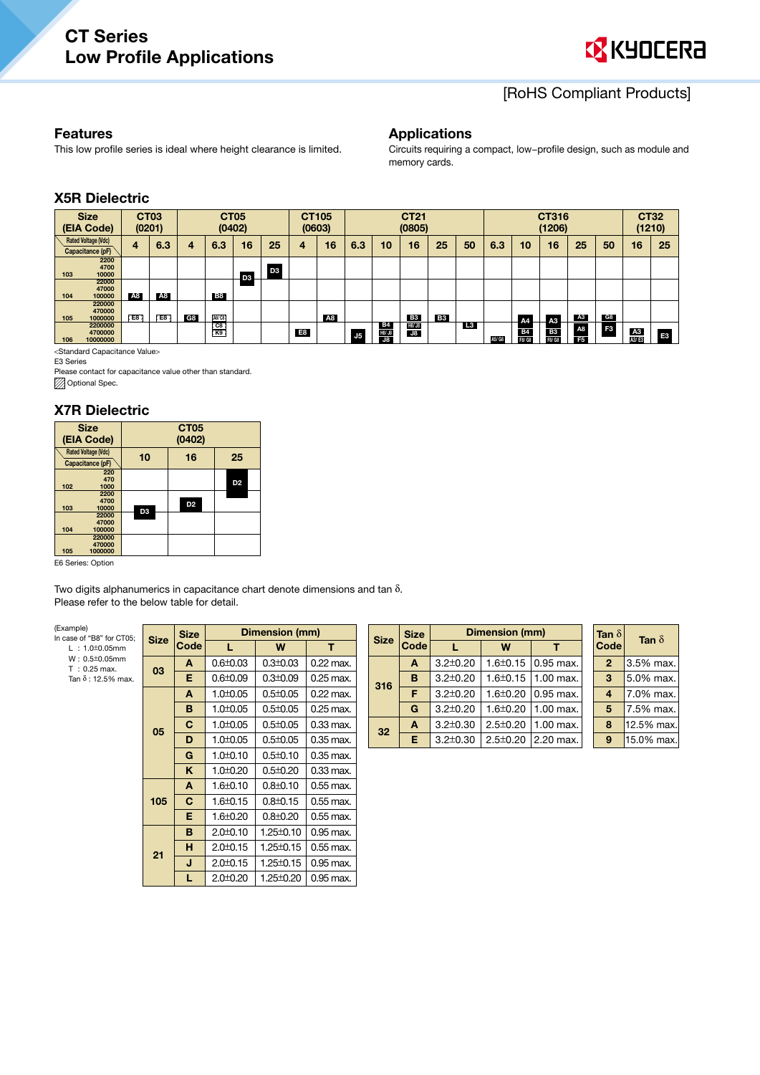

# [RoHS Compliant Products]

#### Features

This low profile series is ideal where height clearance is limited.

#### Applications

Circuits requiring a compact, low−profile design, such as module and memory cards.

# X5R Dielectric

|     | <b>Size</b><br>(EIA Code)                      | <b>CT03</b> | (0201)    |    |                       | <b>CT05</b><br>(0402) |                |                | CT105<br>(0603) |                |                            | <b>CT21</b><br>(0805) |           |    |        | CT316<br>(1206)     |                     |                      | <b>CT32</b><br>(1210) |             |                |
|-----|------------------------------------------------|-------------|-----------|----|-----------------------|-----------------------|----------------|----------------|-----------------|----------------|----------------------------|-----------------------|-----------|----|--------|---------------------|---------------------|----------------------|-----------------------|-------------|----------------|
|     | <b>Rated Voltage (Vdc)</b><br>Capacitance (pF) | 4           | 6.3       | 4  | 6.3                   | 16                    | 25             | 4              | 16              | 6.3            | 10                         | 16                    | 25        | 50 | 6.3    | 10                  | 16                  | 25                   | 50                    | 16          | 25             |
| 103 | 2200<br>4700<br>10000                          |             |           |    |                       | D <sub>3</sub>        | D <sub>3</sub> |                |                 |                |                            |                       |           |    |        |                     |                     |                      |                       |             |                |
| 104 | 22000<br>47000<br>100000                       | A8          | <b>A8</b> |    | <b>B8</b>             |                       |                |                |                 |                |                            |                       |           |    |        |                     |                     |                      |                       |             |                |
| 105 | 220000<br>470000<br>1000000                    | $E = 8$     | E8        | G8 | [A8/C8]               |                       |                |                | A8              |                |                            | <b>B3</b>             | <b>B3</b> |    |        | A4                  | A3                  | <b>A3</b>            | G8                    |             |                |
| 106 | 2200000<br>4700000<br>10000000                 |             |           |    | $rac{1}{100}$<br>r K9 |                       |                | E <sub>8</sub> |                 | J <sub>5</sub> | <b>B4</b><br>H8/ J8<br>J8. | H8/ J8<br><b>J8</b>   |           | L3 | A5/ G8 | <b>B4</b><br>F8/ G8 | <b>B3</b><br>F8/ G8 | A8<br>F <sub>5</sub> | F3                    | A3<br>A3/E3 | F <sub>3</sub> |

<Standard Capacitance Value>

E3 Series

Please contact for capacitance value other than standard. **Optional Spec.** 

#### X7R Dielectric

| <b>Size</b><br>(EIA Code)                      |                | CT <sub>05</sub><br>(0402) |                |  |  |  |  |  |
|------------------------------------------------|----------------|----------------------------|----------------|--|--|--|--|--|
| <b>Rated Voltage (Vdc)</b><br>Capacitance (pF) | 10             | 16<br>25                   |                |  |  |  |  |  |
| 220<br>470<br>102<br>1000                      |                |                            | D <sub>2</sub> |  |  |  |  |  |
| 2200<br>4700<br>103<br>10000                   | D <sub>3</sub> | D <sub>2</sub>             |                |  |  |  |  |  |
| 22000<br>47000<br>104<br>100000                |                |                            |                |  |  |  |  |  |
| 220000<br>470000<br>105<br>1000000             |                |                            |                |  |  |  |  |  |

E6 Series: Option

Two digits alphanumerics in capacitance chart denote dimensions and tan δ. Please refer to the below table for detail.

(Example)

| $L : 1.0 \pm 0.05$ mm                   | --- | Code           |                |  |
|-----------------------------------------|-----|----------------|----------------|--|
| $W: 0.5 \pm 0.05$ mm<br>$T : 0.25$ max. | 03  | A              | $0.6 \pm 0.03$ |  |
| Tan $\delta$ : 12.5% max.               |     | E              | $0.6 \pm 0.09$ |  |
|                                         |     | A              | $1.0 \pm 0.05$ |  |
|                                         |     | B              | $1.0 \pm 0.05$ |  |
|                                         | 05  | C              | $1.0 \pm 0.05$ |  |
|                                         |     | D              | $1.0 \pm 0.05$ |  |
|                                         |     | G              | $1.0 \pm 0.10$ |  |
|                                         |     | $\overline{ }$ | 1.010.00       |  |

| (Example)<br>In case of "B8" for CT05:  |             | <b>Size</b> |                | Dimension (mm) |             |
|-----------------------------------------|-------------|-------------|----------------|----------------|-------------|
| $L : 1.0 \pm 0.05$ mm                   | <b>Size</b> | Code        | L              | W              | т           |
| $W: 0.5 \pm 0.05$ mm<br>$T : 0.25$ max. | 03          | A           | $0.6 \pm 0.03$ | $0.3 \pm 0.03$ | $0.22$ max. |
| Tan $\delta$ : 12.5% max.               |             | Е           | $0.6 \pm 0.09$ | $0.3 \pm 0.09$ | $0.25$ max. |
|                                         |             | A           | $1.0 \pm 0.05$ | $0.5 \pm 0.05$ | $0.22$ max. |
|                                         |             | B           | $1.0 \pm 0.05$ | $0.5 \pm 0.05$ | $0.25$ max. |
|                                         | 05          | C           | $1.0 \pm 0.05$ | $0.5 \pm 0.05$ | $0.33$ max. |
|                                         |             | D           | $1.0 \pm 0.05$ | $0.5 \pm 0.05$ | $0.35$ max. |
|                                         |             | G           | $1.0 \pm 0.10$ | $0.5 \pm 0.10$ | $0.35$ max. |
|                                         |             | ĸ           | $1.0 \pm 0.20$ | $0.5 \pm 0.20$ | $0.33$ max. |
|                                         |             | A           | $1.6 \pm 0.10$ | $0.8 \pm 0.10$ | $0.55$ max. |
|                                         | 105         | C           | $1.6 \pm 0.15$ | $0.8 \pm 0.15$ | $0.55$ max. |
|                                         |             | Е           | 1.6±0.20       | $0.8 \pm 0.20$ | $0.55$ max. |
|                                         |             | в           | $2.0 \pm 0.10$ | 1.25±0.10      | 0.95 max.   |
|                                         | 21          | н           | $2.0 \pm 0.15$ | 1.25±0.15      | 0.55 max.   |
|                                         |             | J           | $2.0 \pm 0.15$ | 1.25±0.15      | 0.95 max.   |
|                                         |             | L           | $2.0 \pm 0.20$ | 1.25±0.20      | 0.95 max.   |

|  | <b>Size</b>     | <b>Size</b> | <b>Dimension (mm)</b> | Tan $\delta$   | Ta                       |                |       |
|--|-----------------|-------------|-----------------------|----------------|--------------------------|----------------|-------|
|  |                 | Code        |                       | W              |                          | Code           |       |
|  | 316             | A           | $3.2 \pm 0.20$        |                | 1.6 $\pm$ 0.15 0.95 max. | $\overline{2}$ | 3.5%  |
|  |                 | В           | $3.2 \pm 0.20$        |                | 1.6 $\pm$ 0.15 1.00 max. | 3              | 5.0%  |
|  |                 | F           | $3.2 \pm 0.20$        | $1.6 \pm 0.20$ | $0.95$ max.              | 4              | 7.0%  |
|  |                 | G           | $3.2 \pm 0.20$        | $1.6 \pm 0.20$ | $1.00$ max.              | 5              | 7.5%  |
|  | 32 <sub>2</sub> | A           | $3.2 \pm 0.30$        | $2.5 \pm 0.20$ | 1.00 max.                | 8              | 12.5% |
|  |                 | E.          | $3.2 \pm 0.30$        | $2.5 \pm 0.20$ | 2.20 max.                | 9              | 15.09 |

| Tan $\delta$<br>Code | Tan $\delta$ |  |  |
|----------------------|--------------|--|--|
| 2                    | 3.5% max.    |  |  |
| 3                    | 5.0% max.    |  |  |
| 4                    | 7.0% max.    |  |  |
| 5                    | 7.5% max.    |  |  |
| 8                    | 12.5% max.   |  |  |
| Q                    | 15.0% max.   |  |  |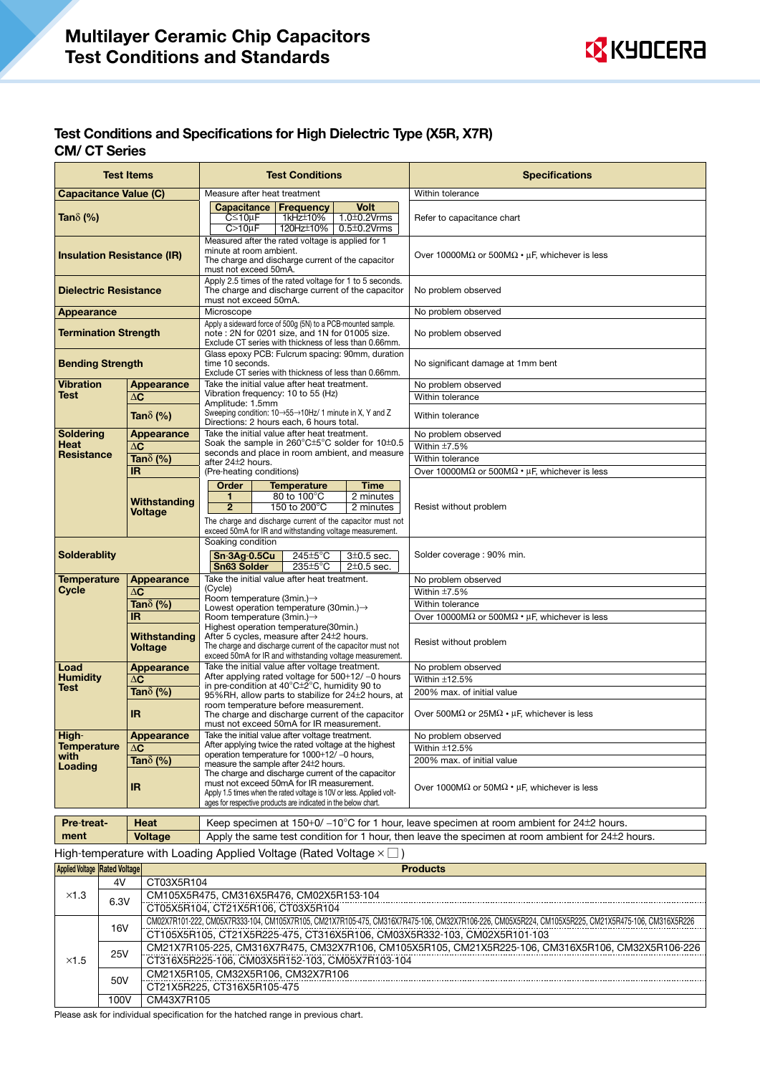

## Test Conditions and Specifications for High Dielectric Type (X5R, X7R) CM/ CT Series

| <b>Test Items</b><br><b>Test Conditions</b>                                                                                                                                               |                                                                                                               | <b>Specifications</b>                                                                                                           |                            |                                                                    |                                                                                                        |  |  |
|-------------------------------------------------------------------------------------------------------------------------------------------------------------------------------------------|---------------------------------------------------------------------------------------------------------------|---------------------------------------------------------------------------------------------------------------------------------|----------------------------|--------------------------------------------------------------------|--------------------------------------------------------------------------------------------------------|--|--|
| <b>Capacitance Value (C)</b>                                                                                                                                                              |                                                                                                               | Measure after heat treatment                                                                                                    |                            |                                                                    | Within tolerance                                                                                       |  |  |
|                                                                                                                                                                                           |                                                                                                               | Capacitance   Frequency                                                                                                         |                            | <b>Volt</b>                                                        |                                                                                                        |  |  |
| Tan $\delta$ (%)                                                                                                                                                                          |                                                                                                               | $C \leq 10 \mu F$                                                                                                               | 1kHz±10%                   | $1.0 \pm 0.2$ Vrms                                                 | Refer to capacitance chart                                                                             |  |  |
|                                                                                                                                                                                           |                                                                                                               | $C>10\mu F$                                                                                                                     | 120Hz±10%                  | $0.5 \pm 0.2$ Vrms                                                 |                                                                                                        |  |  |
|                                                                                                                                                                                           |                                                                                                               | Measured after the rated voltage is applied for 1<br>minute at room ambient.                                                    |                            |                                                                    |                                                                                                        |  |  |
| <b>Insulation Resistance (IR)</b>                                                                                                                                                         |                                                                                                               | The charge and discharge current of the capacitor                                                                               |                            |                                                                    | Over 10000M $\Omega$ or 500M $\Omega \cdot \mu$ F, whichever is less                                   |  |  |
|                                                                                                                                                                                           |                                                                                                               | must not exceed 50mA.                                                                                                           |                            |                                                                    |                                                                                                        |  |  |
| <b>Dielectric Resistance</b>                                                                                                                                                              |                                                                                                               | Apply 2.5 times of the rated voltage for 1 to 5 seconds.<br>The charge and discharge current of the capacitor                   |                            |                                                                    | No problem observed                                                                                    |  |  |
|                                                                                                                                                                                           |                                                                                                               | must not exceed 50mA.                                                                                                           |                            |                                                                    |                                                                                                        |  |  |
| <b>Appearance</b>                                                                                                                                                                         |                                                                                                               | Microscope                                                                                                                      |                            |                                                                    | No problem observed                                                                                    |  |  |
|                                                                                                                                                                                           |                                                                                                               | Apply a sideward force of 500g (5N) to a PCB-mounted sample.                                                                    |                            |                                                                    |                                                                                                        |  |  |
| <b>Termination Strength</b>                                                                                                                                                               |                                                                                                               | note: 2N for 0201 size, and 1N for 01005 size.<br>Exclude CT series with thickness of less than 0.66mm.                         |                            |                                                                    | No problem observed                                                                                    |  |  |
|                                                                                                                                                                                           |                                                                                                               | Glass epoxy PCB: Fulcrum spacing: 90mm, duration                                                                                |                            |                                                                    |                                                                                                        |  |  |
| <b>Bending Strength</b>                                                                                                                                                                   |                                                                                                               | time 10 seconds.                                                                                                                |                            |                                                                    | No significant damage at 1mm bent                                                                      |  |  |
| <b>Vibration</b>                                                                                                                                                                          | Appearance                                                                                                    | Exclude CT series with thickness of less than 0.66mm.<br>Take the initial value after heat treatment.                           |                            |                                                                    | No problem observed                                                                                    |  |  |
| Test                                                                                                                                                                                      | $\Delta C$                                                                                                    | Vibration frequency: 10 to 55 (Hz)                                                                                              |                            |                                                                    | Within tolerance                                                                                       |  |  |
|                                                                                                                                                                                           |                                                                                                               | Amplitude: 1.5mm                                                                                                                |                            |                                                                    |                                                                                                        |  |  |
|                                                                                                                                                                                           | Tan $\delta$ (%)                                                                                              | Sweeping condition: 10→55→10Hz/ 1 minute in X, Y and Z<br>Directions: 2 hours each. 6 hours total.                              |                            |                                                                    | Within tolerance                                                                                       |  |  |
| <b>Soldering</b>                                                                                                                                                                          | <b>Appearance</b>                                                                                             | Take the initial value after heat treatment.                                                                                    |                            |                                                                    | No problem observed                                                                                    |  |  |
| <b>Heat</b>                                                                                                                                                                               | $\Delta$ C                                                                                                    | Soak the sample in $260^{\circ}$ C $\pm$ 5°C solder for 10 $\pm$ 0.5                                                            |                            |                                                                    | Within $\pm$ 7.5%                                                                                      |  |  |
| <b>Resistance</b>                                                                                                                                                                         | Tan $\delta$ (%)                                                                                              | seconds and place in room ambient, and measure<br>after 24 <sup>±</sup> 2 hours.                                                |                            |                                                                    | Within tolerance                                                                                       |  |  |
| IR.                                                                                                                                                                                       |                                                                                                               | (Pre-heating conditions)                                                                                                        |                            |                                                                    | Over 10000M $\Omega$ or 500M $\Omega \cdot \mu$ F, whichever is less                                   |  |  |
|                                                                                                                                                                                           |                                                                                                               | Order                                                                                                                           | <b>Temperature</b>         | <b>Time</b>                                                        |                                                                                                        |  |  |
|                                                                                                                                                                                           | Withstanding                                                                                                  | 1                                                                                                                               | 80 to 100°C                | 2 minutes                                                          |                                                                                                        |  |  |
|                                                                                                                                                                                           | Voltage                                                                                                       | 150 to 200°C<br>$\overline{2}$<br>The charge and discharge current of the capacitor must not                                    |                            | 2 minutes                                                          | Resist without problem                                                                                 |  |  |
|                                                                                                                                                                                           |                                                                                                               | exceed 50mA for IR and withstanding voltage measurement.                                                                        |                            |                                                                    |                                                                                                        |  |  |
|                                                                                                                                                                                           |                                                                                                               | Soaking condition                                                                                                               |                            |                                                                    |                                                                                                        |  |  |
| <b>Solderablity</b>                                                                                                                                                                       |                                                                                                               | $Sn-3Ag-0.5Cu$<br>$245 \pm 5^{\circ}$ C<br>$3\pm0.5$ sec.<br>235±5°C<br>Sn63 Solder<br>$2\pm0.5$ sec.                           |                            |                                                                    | Solder coverage: 90% min.                                                                              |  |  |
|                                                                                                                                                                                           |                                                                                                               |                                                                                                                                 |                            |                                                                    |                                                                                                        |  |  |
| <b>Temperature</b>                                                                                                                                                                        | Appearance                                                                                                    | Take the initial value after heat treatment.                                                                                    |                            |                                                                    | No problem observed                                                                                    |  |  |
| Cycle                                                                                                                                                                                     | $\Delta$ C                                                                                                    | (Cycle)<br>Room temperature (3min.)→                                                                                            |                            |                                                                    | Within $\pm$ 7.5%                                                                                      |  |  |
|                                                                                                                                                                                           | Tan $\delta$ (%)                                                                                              | Lowest operation temperature (30min.)→                                                                                          |                            |                                                                    | Within tolerance                                                                                       |  |  |
|                                                                                                                                                                                           | IR.                                                                                                           | Room temperature (3min.)-><br>Highest operation temperature(30min.)                                                             |                            |                                                                    | Over 10000M $\Omega$ or 500M $\Omega \cdot \mu$ F, whichever is less                                   |  |  |
|                                                                                                                                                                                           | Withstanding                                                                                                  | After 5 cycles, measure after 24 <sup>+</sup> 2 hours.                                                                          |                            |                                                                    |                                                                                                        |  |  |
|                                                                                                                                                                                           | Voltage                                                                                                       | The charge and discharge current of the capacitor must not<br>exceed 50mA for IR and withstanding voltage measurement.          |                            |                                                                    | Resist without problem                                                                                 |  |  |
| Load                                                                                                                                                                                      | <b>Appearance</b>                                                                                             | Take the initial value after voltage treatment.                                                                                 |                            |                                                                    | No problem observed                                                                                    |  |  |
| <b>Humidity</b>                                                                                                                                                                           | $\Delta C$                                                                                                    | After applying rated voltage for 500+12/-0 hours                                                                                |                            |                                                                    | Within ±12.5%                                                                                          |  |  |
| Test                                                                                                                                                                                      | Tan $\delta$ (%)                                                                                              | in pre-condition at $40^{\circ}$ C $\pm$ 2 <sup>°</sup> C, humidity 90 to<br>95%RH, allow parts to stabilize for 24±2 hours, at |                            |                                                                    | 200% max. of initial value                                                                             |  |  |
|                                                                                                                                                                                           |                                                                                                               | room temperature before measurement.                                                                                            |                            |                                                                    |                                                                                                        |  |  |
|                                                                                                                                                                                           | <b>IR</b>                                                                                                     | The charge and discharge current of the capacitor                                                                               |                            |                                                                    | Over 500M $\Omega$ or 25M $\Omega \cdot \mu$ F. whichever is less                                      |  |  |
| High-                                                                                                                                                                                     |                                                                                                               | must not exceed 50mA for IR measurement.                                                                                        |                            |                                                                    | No problem observed                                                                                    |  |  |
| <b>Temperature</b>                                                                                                                                                                        | <b>Appearance</b>                                                                                             | Take the initial value after voltage treatment.<br>After applying twice the rated voltage at the highest                        |                            |                                                                    | Within $\pm$ 12.5%                                                                                     |  |  |
| with                                                                                                                                                                                      | $\Delta$ C<br>operation temperature for 1000+12/-0 hours,                                                     |                                                                                                                                 | 200% max. of initial value |                                                                    |                                                                                                        |  |  |
| Loading                                                                                                                                                                                   | Tan $\delta$ (%)<br>measure the sample after 24±2 hours.<br>The charge and discharge current of the capacitor |                                                                                                                                 |                            |                                                                    |                                                                                                        |  |  |
| must not exceed 50mA for IR measurement.<br>IR.<br>Apply 1.5 times when the rated voltage is 10V or less. Applied volt-<br>ages for respective products are indicated in the below chart. |                                                                                                               |                                                                                                                                 |                            | Over 1000M $\Omega$ or 50M $\Omega \cdot \mu$ F, whichever is less |                                                                                                        |  |  |
|                                                                                                                                                                                           |                                                                                                               |                                                                                                                                 |                            |                                                                    |                                                                                                        |  |  |
|                                                                                                                                                                                           |                                                                                                               |                                                                                                                                 |                            |                                                                    |                                                                                                        |  |  |
| Pre-treat-                                                                                                                                                                                | Heat                                                                                                          |                                                                                                                                 |                            |                                                                    | Keep specimen at $150+0/-10^{\circ}$ C for 1 hour, leave specimen at room ambient for $24\pm 2$ hours. |  |  |
| ment                                                                                                                                                                                      | <b>Voltage</b>                                                                                                |                                                                                                                                 |                            |                                                                    | Apply the same test condition for 1 hour, then leave the specimen at room ambient for 24±2 hours.      |  |  |
|                                                                                                                                                                                           |                                                                                                               |                                                                                                                                 |                            |                                                                    |                                                                                                        |  |  |

# High-temperature with Loading Applied Voltage (Rated Voltage  $\times \Box$ )

|              | Applied Voltage   Rated Voltage |                                                                                                                                                    |
|--------------|---------------------------------|----------------------------------------------------------------------------------------------------------------------------------------------------|
|              | 4V                              | CT03X5R104                                                                                                                                         |
| $\times$ 1.3 | 6.3V                            | CM105X5R475, CM316X5R476, CM02X5R153-104                                                                                                           |
|              |                                 | CT05X5R104, CT21X5R106, CT03X5R104                                                                                                                 |
|              |                                 | CM02X7R101-222, CM05X7R333-104, CM105X7R105, CM21X7R105-475, CM316X7R475-106, CM32X7R106-226, CM05X5R224, CM105X5R225, CM21X5R475-106, CM316X5R226 |
|              |                                 | CT105X5R105, CT21X5R225-475, CT316X5R106, CM03X5R332-103, CM02X5R101-103                                                                           |
|              |                                 | CM21X7R105-225, CM316X7R475, CM32X7R106, CM105X5R105, CM21X5R225-106, CM316X5R106, CM32X5R106-226                                                  |
| $\times$ 1.5 |                                 | CT316X5R225-106, CM03X5R152-103, CM05X7R103-104                                                                                                    |
|              |                                 | CM21X5R105, CM32X5R106, CM32X7R106                                                                                                                 |
|              |                                 | CT21X5R225, CT316X5R105-475                                                                                                                        |
|              | 100V                            | CM43X7R105                                                                                                                                         |
|              | 16V<br>25V<br>50V               |                                                                                                                                                    |

Please ask for individual specification for the hatched range in previous chart.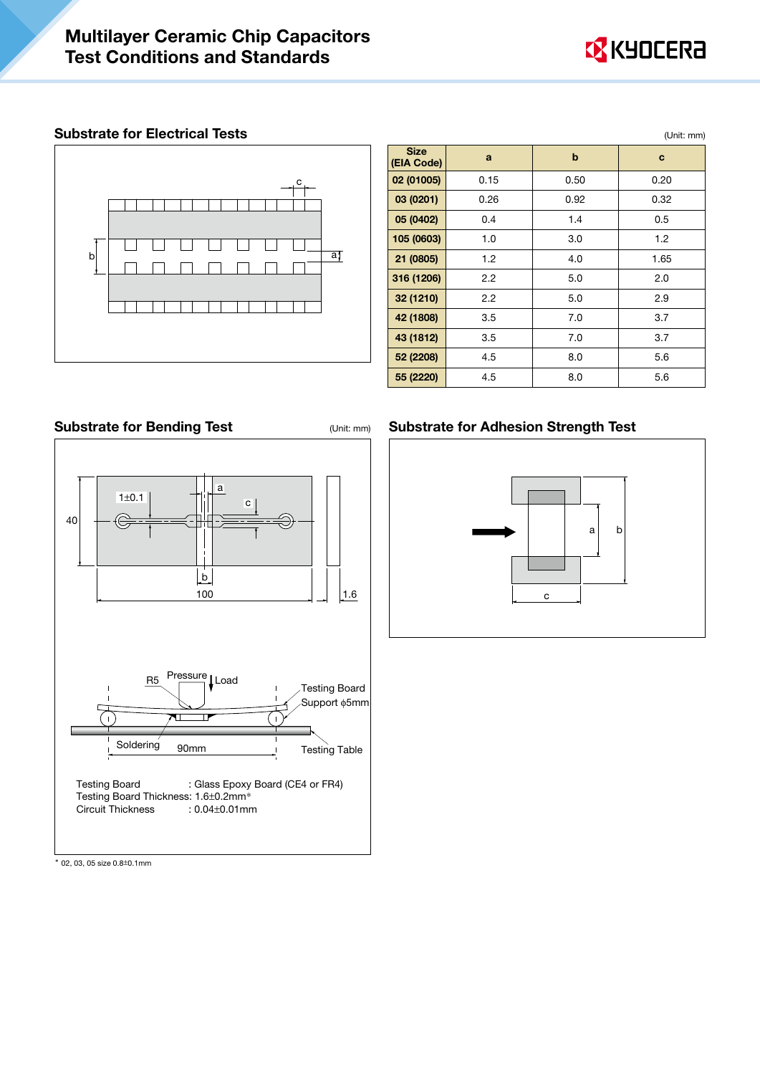

## Substrate for Electrical Tests (Unit: mm)



|                           |                  |             | ,,,,,,,,,,,,,,,,,, |
|---------------------------|------------------|-------------|--------------------|
| <b>Size</b><br>(EIA Code) | a                | $\mathbf b$ | c                  |
| 02 (01005)                | 0.15             | 0.50        | 0.20               |
| 03 (0201)                 | 0.26             | 0.92        | 0.32               |
| 05 (0402)                 | 0.4              | 1.4         | 0.5                |
| 105 (0603)                | 1.0              | 3.0         | 1.2                |
| 21 (0805)                 | 1.2              | 4.0         | 1.65               |
| 316 (1206)                | $2.2\phantom{0}$ | 5.0         | 2.0                |
| 32 (1210)                 | $2.2\phantom{0}$ | 5.0         | 2.9                |
| 42 (1808)                 | 3.5              | 7.0         | 3.7                |
| 43 (1812)                 | 3.5              | 7.0         | 3.7                |
| 52 (2208)                 | 4.5              | 8.0         | 5.6                |
| 55 (2220)                 | 4.5              | 8.0         | 5.6                |

# Substrate for Bending Test **(Unit: mm)** Substrate for Adhesion Strength Test



\* 02, 03, 05 size 0.8±0.1mm

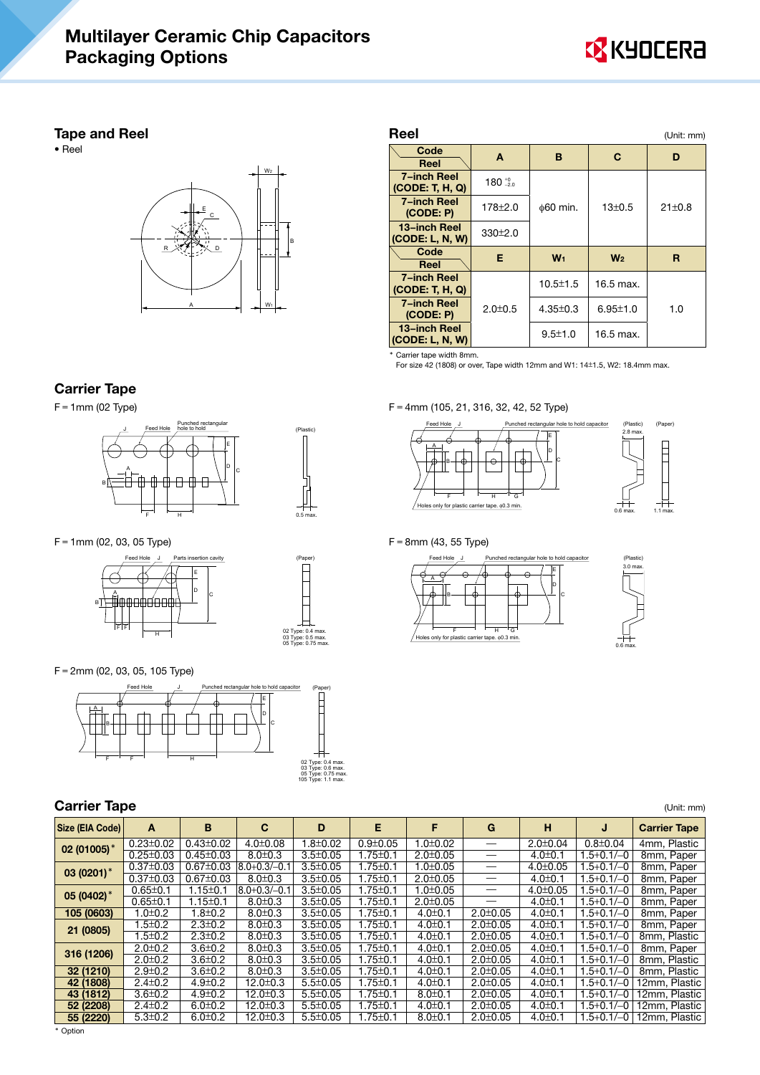# Multilayer Ceramic Chip Capacitors Packaging Options



#### Tape and Reel

• Reel



#### Reel (Unit: mm)  $\begin{array}{c|c|c|c|c|c} \textbf{Code} & \textbf{A} & \textbf{B} & \textbf{C} & \textbf{D} \ \hline \textbf{Reel} & \textbf{A} & \textbf{B} & \textbf{C} & \textbf{D} \end{array}$ 7−inch Reel (CODE: T, H, Q)  $180_{-2.0}^{+0}$ 7–inch Reel  $\begin{array}{|c|c|c|c|c|c|}\n\hline\n\text{7}-\text{5} & 178\pm2.0 & \text{60 min.} & 13\pm0.5 & 21\pm0.8 \\
\hline\n\end{array}$  $(CODE: P)$ 13−inch Reel 13-inch Reel<br>(CODE: L, N, W)  $330\pm2.0$  $\begin{array}{|l|c|c|c|}\hline \text{Code} & \text{E} & \text{W}_1 & \text{W}_2 & \text{R} \ \hline \text{Reel} & & \end{array}$ 7−inch Reel (CODE: T, H, Q) 2.0±0.5 10.5 $\pm$ 1.5 16.5 max. 7–inch Reel  $2.0 \pm 0.5$   $4.35 \pm 0.3$   $6.95 \pm 1.0$  1.0  $(CODE: P)$ 13−inch Reel  $\begin{array}{|c|c|c|c|c|c|}\n \hline\n \text{13–inch Heel} & & 9.5\pm1.0 & 16.5 \text{ max.} \\
 \hline\n \text{ (CODE: L, N, W)} & & & \end{array}$

Carrier tape width 8mm. For size 42 (1808) or over, Tape width 12mm and W1: 14±1.5, W2: 18.4mm max.

# Carrier Tape

 $F = 1$ mm (02 Type)



F=1mm (02, 03, 05 Type)



F=2mm (02, 03, 05, 105 Type)



| 02 Type: 0.4 max.  |  |
|--------------------|--|
| 03 Type: 0.6 max.  |  |
| 05 Type: 0.75 max. |  |
| 105 Type: 1.1 max. |  |

02 Type: 0.4 max. 03 Type: 0.5 max. 05 Type: 0.75 max.

(Plastic)

| <b>Carrier Tape</b> |                 |                 |                     |                |                |                |                |                |                  | (Unit: mm)          |
|---------------------|-----------------|-----------------|---------------------|----------------|----------------|----------------|----------------|----------------|------------------|---------------------|
| Size (EIA Code)     | A               | B               | C                   | D              | Е              | F              | G              | н              | J                | <b>Carrier Tape</b> |
| 02 (01005)*         | $0.23 \pm 0.02$ | $0.43 \pm 0.02$ | $4.0 \pm 0.08$      | $0.02$ .       | $0.9 + 0.05$   | $1.0 \pm 0.02$ | –              | $2.0 \pm 0.04$ | $0.8 \pm 0.04$   | 4mm, Plastic        |
|                     | $0.25 \pm 0.03$ | $0.45 \pm 0.03$ | $8.0 \pm 0.3$       | $3.5 \pm 0.05$ | $1.75 \pm 0.1$ | $2.0 \pm 0.05$ |                | $4.0 \pm 0.1$  | $1.5 + 0.1 / -0$ | 8mm, Paper          |
| 03 (0201) $*$       | $0.37 \pm 0.03$ | $0.67 \pm 0.03$ | $ 8.0 + 0.3 / -0.1$ | $3.5 \pm 0.05$ | $1.75 \pm 0.1$ | $1.0 \pm 0.05$ |                | $4.0 \pm 0.05$ | $1.5 + 0.1 / -0$ | 8mm, Paper          |
|                     | $0.37 \pm 0.03$ | $0.67 \pm 0.03$ | $8.0 \pm 0.3$       | $3.5 \pm 0.05$ | $1.75 \pm 0.1$ | $2.0 \pm 0.05$ |                | $4.0 \pm 0.1$  | 1.5+0.1/-0       | 8mm, Paper          |
| 05 (0402) $*$       | $0.65 \pm 0.1$  | $1.15 \pm 0.1$  | $8.0 + 0.3 / -0.1$  | $3.5 \pm 0.05$ | $1.75 \pm 0.1$ | $1.0 \pm 0.05$ |                | $4.0 \pm 0.05$ | $1.5 + 0.1 / -0$ | 8mm, Paper          |
|                     | $0.65 \pm 0.1$  | $1.15 \pm 0.1$  | $8.0 \pm 0.3$       | $3.5 \pm 0.05$ | $1.75 \pm 0.1$ | $2.0 \pm 0.05$ |                | $4.0 \pm 0.1$  | $1.5 + 0.1 / -0$ | 8mm, Paper          |
| 105 (0603)          | $1.0 \pm 0.2$   | 1.8±0.2         | $8.0 \pm 0.3$       | $3.5 \pm 0.05$ | $1.75 \pm 0.1$ | $4.0 \pm 0.1$  | $2.0 \pm 0.05$ | $4.0 \pm 0.1$  | $1.5 + 0.1 / -0$ | 8mm, Paper          |
| 21 (0805)           | $1.5 \pm 0.2$   | $2.3 \pm 0.2$   | $8.0 \pm 0.3$       | $3.5 \pm 0.05$ | $1.75 \pm 0.1$ | $4.0 \pm 0.1$  | $2.0 \pm 0.05$ | $4.0 \pm 0.1$  | 1.5+0.1/-0       | 8mm, Paper          |
|                     | $1.5 \pm 0.2$   | $2.3 \pm 0.2$   | $8.0 \pm 0.3$       | $3.5 \pm 0.05$ | $1.75 \pm 0.1$ | $4.0 \pm 0.1$  | $2.0 \pm 0.05$ | $4.0 \pm 0.1$  | 1.5+0.1/-0       | 8mm, Plastic        |
| 316 (1206)          | $2.0 \pm 0.2$   | $3.6 \pm 0.2$   | $8.0 \pm 0.3$       | $3.5 \pm 0.05$ | $1.75 \pm 0.1$ | $4.0 \pm 0.1$  | $2.0 \pm 0.05$ | $4.0 \pm 0.1$  | $1.5 + 0.1 / -0$ | 8mm, Paper          |
|                     | $2.0 \pm 0.2$   | $3.6 \pm 0.2$   | $8.0 \pm 0.3$       | $3.5 \pm 0.05$ | $1.75 \pm 0.1$ | $4.0 \pm 0.1$  | $2.0 \pm 0.05$ | $4.0 \pm 0.1$  | $1.5 + 0.1 / -0$ | 8mm, Plastic        |
| 32 (1210)           | $2.9 \pm 0.2$   | $3.6 \pm 0.2$   | $8.0 \pm 0.3$       | $3.5 \pm 0.05$ | $1.75 \pm 0.1$ | $4.0 \pm 0.1$  | $2.0 \pm 0.05$ | $4.0 \pm 0.1$  | $1.5 + 0.1 / -0$ | 8mm, Plastic        |
| 42 (1808)           | $2.4 \pm 0.2$   | $4.9 \pm 0.2$   | $12.0 \pm 0.3$      | $5.5 \pm 0.05$ | $1.75 \pm 0.1$ | $4.0 \pm 0.1$  | $2.0 \pm 0.05$ | $4.0 \pm 0.1$  | $1.5 + 0.1/-0$   | 12mm, Plastic       |
| 43 (1812)           | $3.6 \pm 0.2$   | $4.9 \pm 0.2$   | $12.0 \pm 0.3$      | $5.5 \pm 0.05$ | $1.75 \pm 0.1$ | $8.0 \pm 0.1$  | $2.0 \pm 0.05$ | $4.0 \pm 0.1$  | $1.5 + 0.1 / -0$ | 12mm, Plastic       |
| 52 (2208)           | $2.4 \pm 0.2$   | $6.0 \pm 0.2$   | $12.0 \pm 0.3$      | $5.5 \pm 0.05$ | $1.75 \pm 0.1$ | $4.0 \pm 0.1$  | $2.0 \pm 0.05$ | $4.0 \pm 0.1$  | $1.5 + 0.1 / -0$ | 12mm, Plastic       |
| 55 (2220)           | $5.3 \pm 0.2$   | $6.0 \pm 0.2$   | $12.0 \pm 0.3$      | $5.5 \pm 0.05$ | $1.75 \pm 0.1$ | $8.0 \pm 0.1$  | $2.0 \pm 0.05$ | $4.0 \pm 0.1$  | $.5+0.1/-0$      | 12mm, Plastic       |

F=4mm (105, 21, 316, 32, 42, 52 Type)



#### $F = 8$ mm (43, 55 Type)



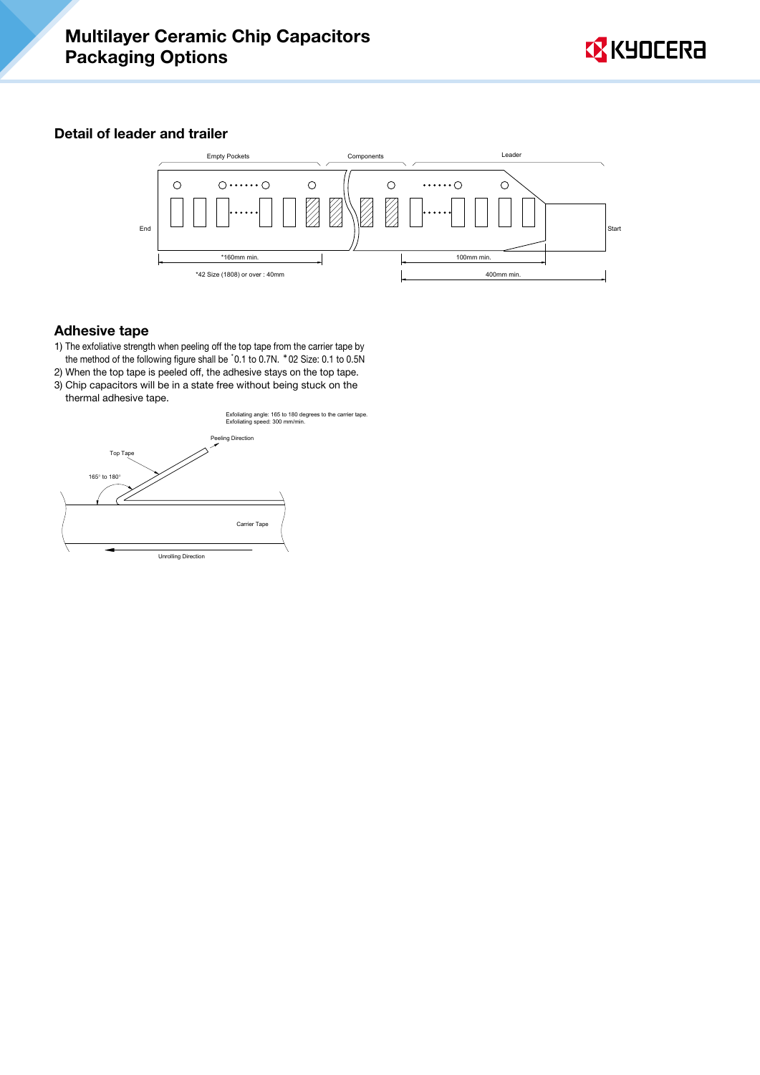

# Detail of leader and trailer



## Adhesive tape

- 1) The exfoliative strength when peeling off the top tape from the carrier tape by the method of the following figure shall be \* 0.1 to 0.7N. \*02 Size: 0.1 to 0.5N
- 2) When the top tape is peeled off, the adhesive stays on the top tape. 3) Chip capacitors will be in a state free without being stuck on the

![](_page_9_Figure_7.jpeg)

![](_page_9_Figure_8.jpeg)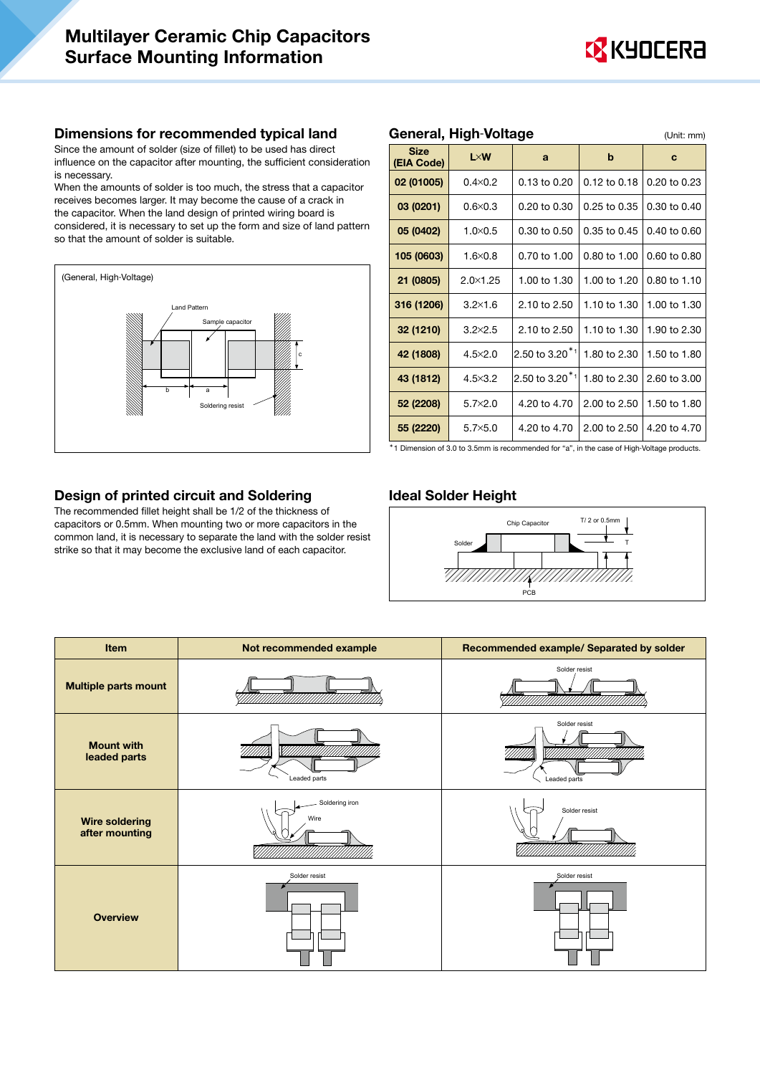![](_page_10_Picture_1.jpeg)

#### Dimensions for recommended typical land

Since the amount of solder (size of fillet) to be used has direct influence on the capacitor after mounting, the sufficient consideration is necessary.

When the amounts of solder is too much, the stress that a capacitor receives becomes larger. It may become the cause of a crack in the capacitor. When the land design of printed wiring board is considered, it is necessary to set up the form and size of land pattern so that the amount of solder is suitable.

![](_page_10_Figure_5.jpeg)

| <b>Size</b><br>(EIA Code) | $L \times W$      | a                             | b            | $\bf c$      |
|---------------------------|-------------------|-------------------------------|--------------|--------------|
| 02 (01005)                | $0.4 \times 0.2$  | 0.13 to 0.20                  | 0.12 to 0.18 | 0.20 to 0.23 |
| 03 (0201)                 | $0.6 \times 0.3$  | 0.20 to 0.30                  | 0.25 to 0.35 | 0.30 to 0.40 |
| 05 (0402)                 | $1.0 \times 0.5$  | 0.30 to 0.50                  | 0.35 to 0.45 | 0.40 to 0.60 |
| 105 (0603)                | $1.6 \times 0.8$  | 0.70 to 1.00                  | 0.80 to 1.00 | 0.60 to 0.80 |
| 21 (0805)                 | $2.0 \times 1.25$ | 1.00 to 1.30                  | 1.00 to 1.20 | 0.80 to 1.10 |
| 316 (1206)                | $3.2 \times 1.6$  | 2.10 to 2.50                  | 1.10 to 1.30 | 1.00 to 1.30 |
| 32 (1210)                 | $3.2 \times 2.5$  | 2.10 to 2.50                  | 1.10 to 1.30 | 1.90 to 2.30 |
| 42 (1808)                 | $4.5 \times 2.0$  | 2.50 to 3.20 <sup>*1</sup>    | 1.80 to 2.30 | 1.50 to 1.80 |
| 43 (1812)                 | $4.5 \times 3.2$  | 2.50 to 3.20 $*$ <sup>1</sup> | 1.80 to 2.30 | 2.60 to 3.00 |
| 52 (2208)                 | $5.7 \times 2.0$  | 4.20 to 4.70                  | 2.00 to 2.50 | 1.50 to 1.80 |
| 55 (2220)                 | $5.7 \times 5.0$  | 4.20 to 4.70                  | 2.00 to 2.50 | 4.20 to 4.70 |

General, High-Voltage (Unit: mm)

\*1 Dimension of 3.0 to 3.5mm is recommended for "a", in the case of High-Voltage products.

## Design of printed circuit and Soldering

The recommended fillet height shall be 1/2 of the thickness of capacitors or 0.5mm. When mounting two or more capacitors in the common land, it is necessary to separate the land with the solder resist strike so that it may become the exclusive land of each capacitor.

#### Ideal Solder Height

![](_page_10_Figure_11.jpeg)

| Item                                    | Not recommended example | Recommended example/ Separated by solder |
|-----------------------------------------|-------------------------|------------------------------------------|
| <b>Multiple parts mount</b>             |                         | Solder resist                            |
| <b>Mount with</b><br>leaded parts       | Leaded parts            | Solder resist<br>Leaded parts            |
| <b>Wire soldering</b><br>after mounting | Soldering iron<br>Wire  | Solder resist                            |
| <b>Overview</b>                         | Solder resist           | Solder resist                            |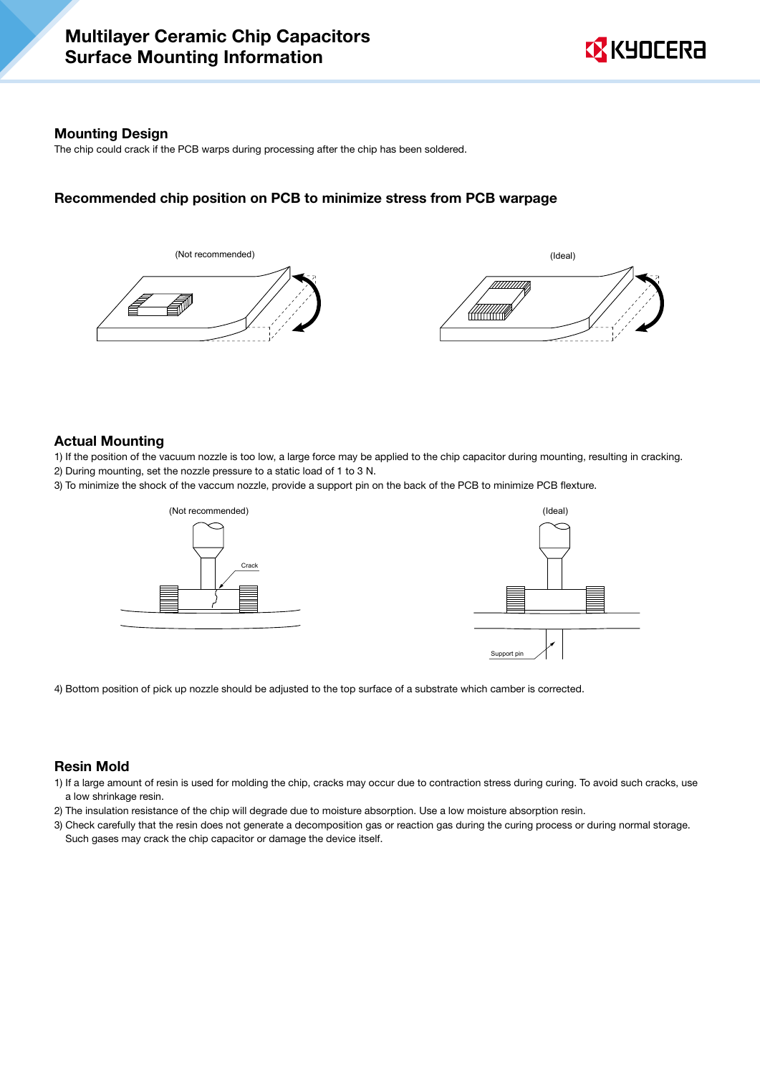#### Mounting Design

The chip could crack if the PCB warps during processing after the chip has been soldered.

#### Recommended chip position on PCB to minimize stress from PCB warpage

![](_page_11_Figure_5.jpeg)

#### Actual Mounting

1) If the position of the vacuum nozzle is too low, a large force may be applied to the chip capacitor during mounting, resulting in cracking.

- 2) During mounting, set the nozzle pressure to a static load of 1 to 3 N.
- 3) To minimize the shock of the vaccum nozzle, provide a support pin on the back of the PCB to minimize PCB flexture.

![](_page_11_Figure_10.jpeg)

![](_page_11_Figure_11.jpeg)

4) Bottom position of pick up nozzle should be adjusted to the top surface of a substrate which camber is corrected.

#### Resin Mold

- 1) If a large amount of resin is used for molding the chip, cracks may occur due to contraction stress during curing. To avoid such cracks, use a low shrinkage resin.
- 2) The insulation resistance of the chip will degrade due to moisture absorption. Use a low moisture absorption resin.
- 3) Check carefully that the resin does not generate a decomposition gas or reaction gas during the curing process or during normal storage. Such gases may crack the chip capacitor or damage the device itself.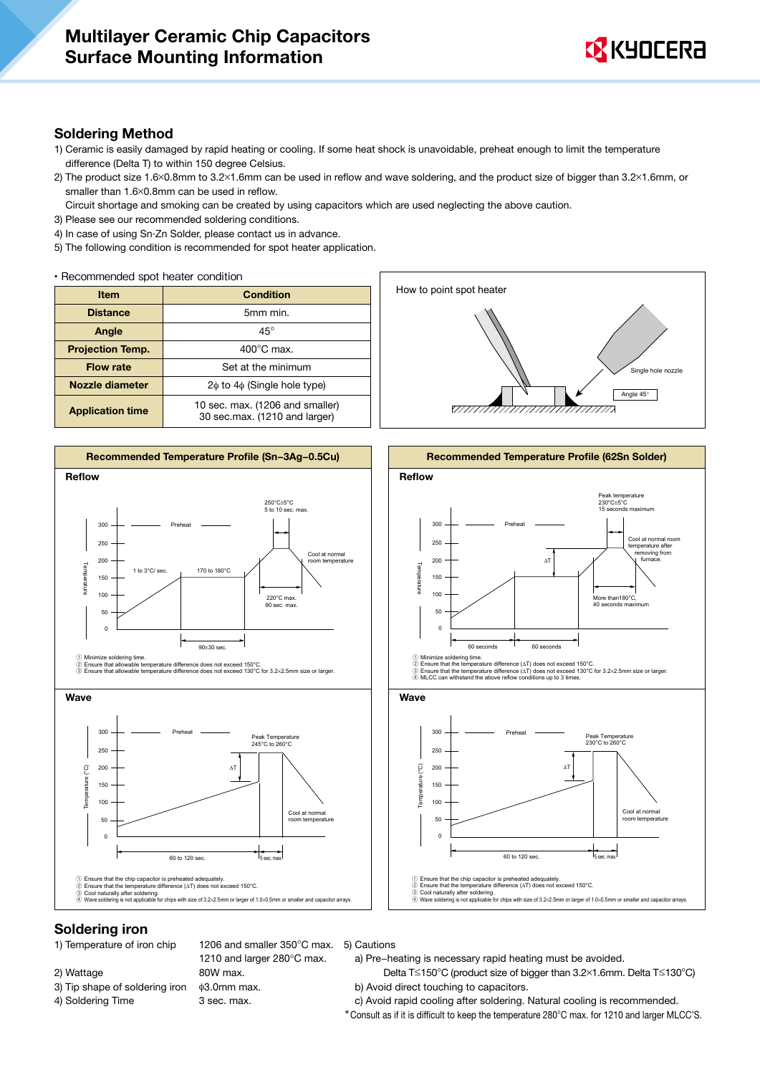![](_page_12_Picture_1.jpeg)

#### Soldering Method

- 1) Ceramic is easily damaged by rapid heating or cooling. If some heat shock is unavoidable, preheat enough to limit the temperature difference (Delta T) to within 150 degree Celsius.
- 2) The product size 1.6×0.8mm to 3.2×1.6mm can be used in reflow and wave soldering, and the product size of bigger than 3.2×1.6mm, or smaller than 1.6×0.8mm can be used in reflow.
- Circuit shortage and smoking can be created by using capacitors which are used neglecting the above caution.
- 3) Please see our recommended soldering conditions.
- 4) In case of using Sn-Zn Solder, please contact us in advance.
- 5) The following condition is recommended for spot heater application.

• Recommended spot heater condition

| <b>Item</b>             | <b>Condition</b>                                                 |  |  |
|-------------------------|------------------------------------------------------------------|--|--|
| <b>Distance</b>         | 5mm min.                                                         |  |  |
| Angle                   | $45^{\circ}$                                                     |  |  |
| <b>Projection Temp.</b> | $400^{\circ}$ C max.                                             |  |  |
| <b>Flow rate</b>        | Set at the minimum                                               |  |  |
| Nozzle diameter         | $2\phi$ to $4\phi$ (Single hole type)                            |  |  |
| <b>Application time</b> | 10 sec. max. (1206 and smaller)<br>30 sec.max. (1210 and larger) |  |  |

![](_page_12_Figure_11.jpeg)

![](_page_12_Figure_12.jpeg)

![](_page_12_Figure_13.jpeg)

#### Soldering iron

1) Temperature of iron chip

- 2) Wattage
- 3) Tip shape of soldering iron
- 4) Soldering Time

1210 and larger 280°C max. 80W max. φ3.0mm max. 3 sec. max.

#### 1206 and smaller 350°C max. 5) Cautions

a) Pre−heating is necessary rapid heating must be avoided.

- Delta T≤150°C (product size of bigger than 3.2×1.6mm. Delta T≤130°C) b) Avoid direct touching to capacitors.
- c) Avoid rapid cooling after soldering. Natural cooling is recommended.
- \*Consult as if it is difficult to keep the temperature 280°C max. for 1210 and larger MLCC'S.